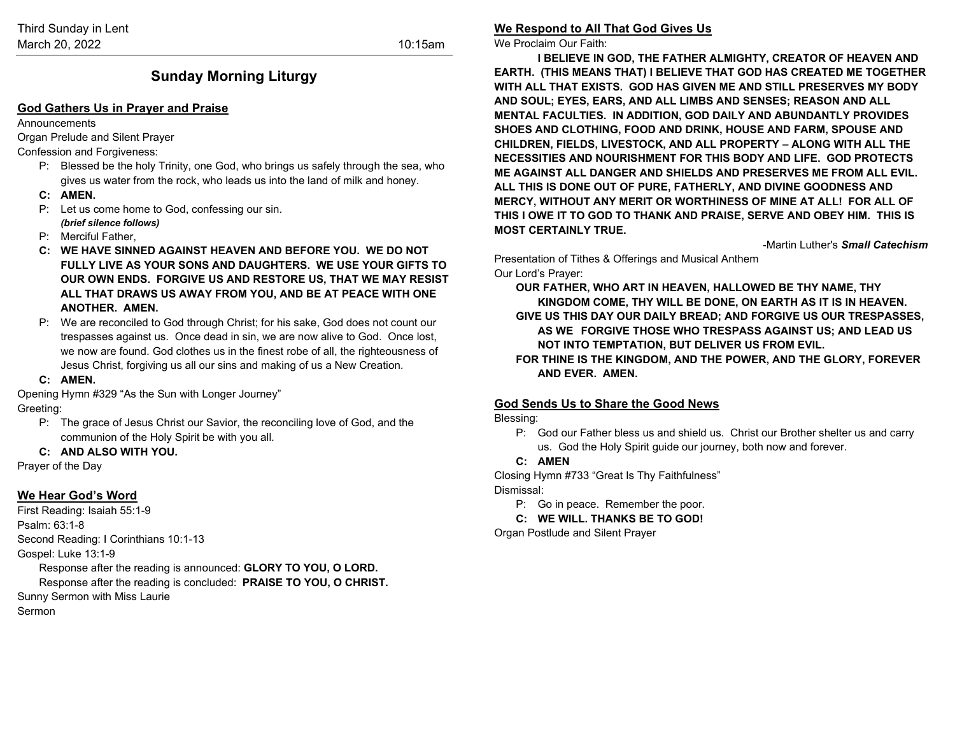### **Sunday Morning Liturgy**

### **God Gathers Us in Prayer and Praise**

Announcements

Organ Prelude and Silent Prayer

Confession and Forgiveness:

- P: Blessed be the holy Trinity, one God, who brings us safely through the sea, who gives us water from the rock, who leads us into the land of milk and honey.
- **C: AMEN.**
- P: Let us come home to God, confessing our sin. *(brief silence follows)*
- P: Merciful Father,
- **C: WE HAVE SINNED AGAINST HEAVEN AND BEFORE YOU. WE DO NOT FULLY LIVE AS YOUR SONS AND DAUGHTERS. WE USE YOUR GIFTS TO OUR OWN ENDS. FORGIVE US AND RESTORE US, THAT WE MAY RESIST ALL THAT DRAWS US AWAY FROM YOU, AND BE AT PEACE WITH ONE ANOTHER. AMEN.**
- P: We are reconciled to God through Christ; for his sake, God does not count our trespasses against us. Once dead in sin, we are now alive to God. Once lost, we now are found. God clothes us in the finest robe of all, the righteousness of Jesus Christ, forgiving us all our sins and making of us a New Creation.
- **C: AMEN.**

Opening Hymn #329 "As the Sun with Longer Journey"

Greeting:

- P: The grace of Jesus Christ our Savior, the reconciling love of God, and the communion of the Holy Spirit be with you all.
- **C: AND ALSO WITH YOU.**

Prayer of the Day

### **We Hear God's Word**

First Reading: Isaiah 55:1-9 Psalm: 63:1-8 Second Reading: I Corinthians 10:1-13 Gospel: Luke 13:1-9 Response after the reading is announced: **GLORY TO YOU, O LORD.** Response after the reading is concluded: **PRAISE TO YOU, O CHRIST.** Sunny Sermon with Miss Laurie

Sermon

**We Respond to All That God Gives Us**

We Proclaim Our Faith:

**I BELIEVE IN GOD, THE FATHER ALMIGHTY, CREATOR OF HEAVEN AND EARTH. (THIS MEANS THAT) I BELIEVE THAT GOD HAS CREATED ME TOGETHER WITH ALL THAT EXISTS. GOD HAS GIVEN ME AND STILL PRESERVES MY BODY AND SOUL; EYES, EARS, AND ALL LIMBS AND SENSES; REASON AND ALL MENTAL FACULTIES. IN ADDITION, GOD DAILY AND ABUNDANTLY PROVIDES SHOES AND CLOTHING, FOOD AND DRINK, HOUSE AND FARM, SPOUSE AND CHILDREN, FIELDS, LIVESTOCK, AND ALL PROPERTY – ALONG WITH ALL THE NECESSITIES AND NOURISHMENT FOR THIS BODY AND LIFE. GOD PROTECTS ME AGAINST ALL DANGER AND SHIELDS AND PRESERVES ME FROM ALL EVIL. ALL THIS IS DONE OUT OF PURE, FATHERLY, AND DIVINE GOODNESS AND MERCY, WITHOUT ANY MERIT OR WORTHINESS OF MINE AT ALL! FOR ALL OF THIS I OWE IT TO GOD TO THANK AND PRAISE, SERVE AND OBEY HIM. THIS IS MOST CERTAINLY TRUE.**

-Martin Luther's *Small Catechism*

Presentation of Tithes & Offerings and Musical Anthem Our Lord's Prayer:

**OUR FATHER, WHO ART IN HEAVEN, HALLOWED BE THY NAME, THY KINGDOM COME, THY WILL BE DONE, ON EARTH AS IT IS IN HEAVEN. GIVE US THIS DAY OUR DAILY BREAD; AND FORGIVE US OUR TRESPASSES, AS WE FORGIVE THOSE WHO TRESPASS AGAINST US; AND LEAD US NOT INTO TEMPTATION, BUT DELIVER US FROM EVIL. FOR THINE IS THE KINGDOM, AND THE POWER, AND THE GLORY, FOREVER** 

**AND EVER. AMEN.**

### **God Sends Us to Share the Good News**

Blessing:

P: God our Father bless us and shield us. Christ our Brother shelter us and carry us. God the Holy Spirit guide our journey, both now and forever.

### **C: AMEN**

Closing Hymn #733 "Great Is Thy Faithfulness" Dismissal:

P: Go in peace. Remember the poor.

**C: WE WILL. THANKS BE TO GOD!**

Organ Postlude and Silent Prayer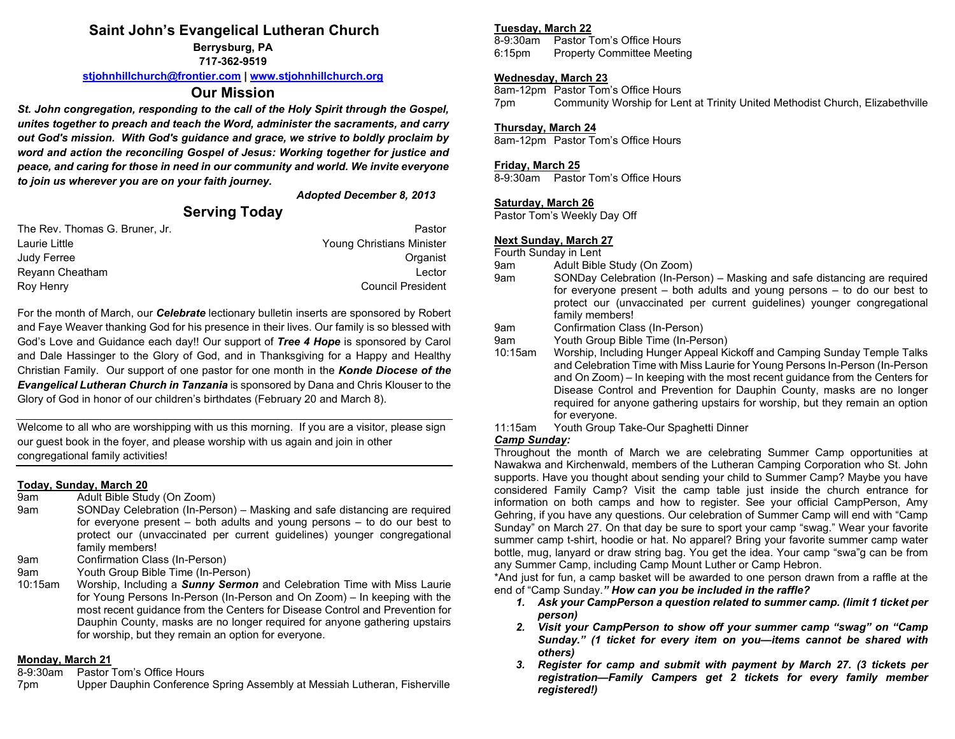## **Saint John's Evangelical Lutheran Church**

**Berrysburg, PA 717-362-9519**

**[stjohnhillchurch@frontier.com](mailto:stjohnhillchurch@frontier.com) | [www.stjohnhillchurch.org](http://www.stjohnhillchurch.org/)**

### **Our Mission**

*St. John congregation, responding to the call of the Holy Spirit through the Gospel, unites together to preach and teach the Word, administer the sacraments, and carry out God's mission. With God's guidance and grace, we strive to boldly proclaim by word and action the reconciling Gospel of Jesus: Working together for justice and peace, and caring for those in need in our community and world. We invite everyone to join us wherever you are on your faith journey.*

### *Adopted December 8, 2013*

## **Serving Today**

| The Rev. Thomas G. Bruner. Jr. | Pastor                    |
|--------------------------------|---------------------------|
| Laurie Little                  | Young Christians Minister |
| Judy Ferree                    | Organist                  |
| Reyann Cheatham                | Lector                    |
| Roy Henry                      | Council President         |

For the month of March, our *Celebrate* lectionary bulletin inserts are sponsored by Robert and Faye Weaver thanking God for his presence in their lives. Our family is so blessed with God's Love and Guidance each day!! Our support of *Tree 4 Hope* is sponsored by Carol and Dale Hassinger to the Glory of God, and in Thanksgiving for a Happy and Healthy Christian Family. Our support of one pastor for one month in the *Konde Diocese of the Evangelical Lutheran Church in Tanzania* is sponsored by Dana and Chris Klouser to the Glory of God in honor of our children's birthdates (February 20 and March 8).

Welcome to all who are worshipping with us this morning. If you are a visitor, please sign our guest book in the foyer, and please worship with us again and join in other congregational family activities!

# **Today, Sunday, March 20**

- Adult Bible Study (On Zoom)
- 9am SONDay Celebration (In-Person) Masking and safe distancing are required for everyone present – both adults and young persons – to do our best to protect our (unvaccinated per current guidelines) younger congregational family members!
- 9am Confirmation Class (In-Person)
- 9am Youth Group Bible Time (In-Person)
- 10:15am Worship, Including a *Sunny Sermon* and Celebration Time with Miss Laurie for Young Persons In-Person (In-Person and On Zoom) – In keeping with the most recent guidance from the Centers for Disease Control and Prevention for Dauphin County, masks are no longer required for anyone gathering upstairs for worship, but they remain an option for everyone.

# **Monday, March 21**<br>8-9:30am Pastor

- Pastor Tom's Office Hours
- 7pm Upper Dauphin Conference Spring Assembly at Messiah Lutheran, Fisherville

# **Tuesday, March 22**

Pastor Tom's Office Hours 6:15pm Property Committee Meeting

### **Wednesday, March 23**

8am-12pm Pastor Tom's Office Hours 7pm Community Worship for Lent at Trinity United Methodist Church, Elizabethville

### **Thursday, March 24**

8am-12pm Pastor Tom's Office Hours

### **Friday, March 25**

8-9:30am Pastor Tom's Office Hours

### **Saturday, March 26**

Pastor Tom's Weekly Day Off

### **Next Sunday, March 27**

Fourth Sunday in Lent

- 9am Adult Bible Study (On Zoom)<br>9am SONDav Celebration (In-Pers
- SONDay Celebration (In-Person) Masking and safe distancing are required for everyone present – both adults and young persons – to do our best to protect our (unvaccinated per current guidelines) younger congregational family members!
- 9am Confirmation Class (In-Person)
- 9am Youth Group Bible Time (In-Person)
- 10:15am Worship, Including Hunger Appeal Kickoff and Camping Sunday Temple Talks and Celebration Time with Miss Laurie for Young Persons In-Person (In-Person and On Zoom) – In keeping with the most recent guidance from the Centers for Disease Control and Prevention for Dauphin County, masks are no longer required for anyone gathering upstairs for worship, but they remain an option for everyone.

11:15am Youth Group Take-Our Spaghetti Dinner

### *Camp Sunday:*

Throughout the month of March we are celebrating Summer Camp opportunities at Nawakwa and Kirchenwald, members of the Lutheran Camping Corporation who St. John supports. Have you thought about sending your child to Summer Camp? Maybe you have considered Family Camp? Visit the camp table just inside the church entrance for information on both camps and how to register. See your official CampPerson, Amy Gehring, if you have any questions. Our celebration of Summer Camp will end with "Camp Sunday" on March 27. On that day be sure to sport your camp "swag." Wear your favorite summer camp t-shirt, hoodie or hat. No apparel? Bring your favorite summer camp water bottle, mug, lanyard or draw string bag. You get the idea. Your camp "swa"g can be from any Summer Camp, including Camp Mount Luther or Camp Hebron.

\*And just for fun, a camp basket will be awarded to one person drawn from a raffle at the end of "Camp Sunday.*" How can you be included in the raffle?* 

- *1. Ask your CampPerson a question related to summer camp. (limit 1 ticket per person)*
- *2. Visit your CampPerson to show off your summer camp "swag" on "Camp Sunday." (1 ticket for every item on you—items cannot be shared with others)*
- *3. Register for camp and submit with payment by March 27. (3 tickets per registration—Family Campers get 2 tickets for every family member registered!)*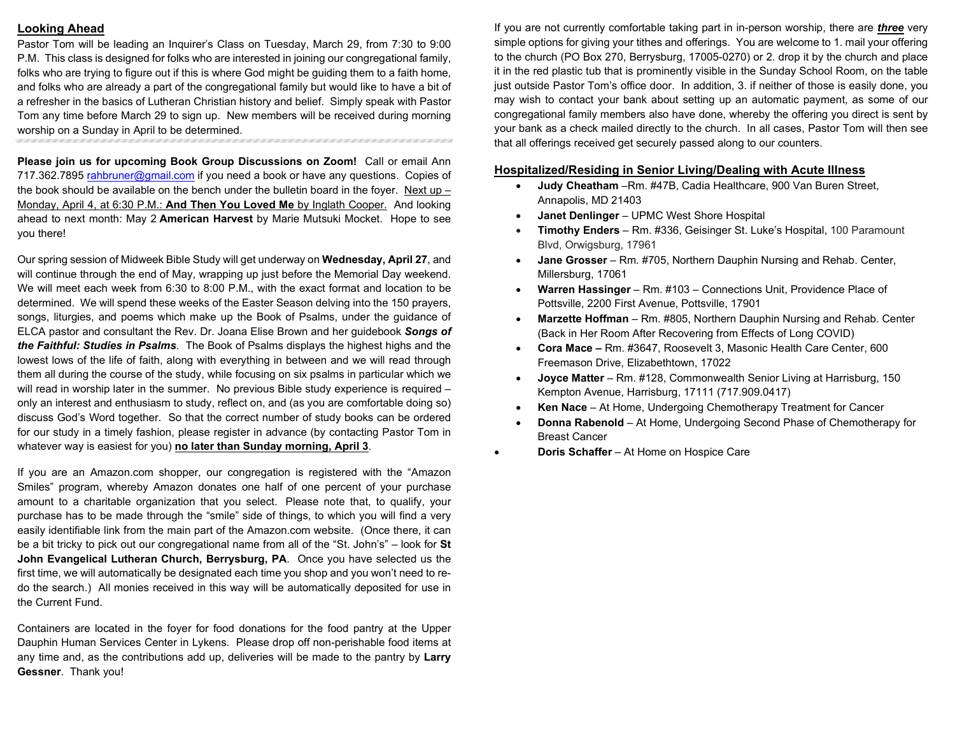### **Looking Ahead**

Pastor Tom will be leading an Inquirer's Class on Tuesday, March 29, from 7:30 to 9:00 P.M. This class is designed for folks who are interested in joining our congregational family, folks who are trying to figure out if this is where God might be guiding them to a faith home, and folks who are already a part of the congregational family but would like to have a bit of a refresher in the basics of Lutheran Christian history and belief. Simply speak with Pastor Tom any time before March 29 to sign up. New members will be received during morning worship on a Sunday in April to be determined.

**Please join us for upcoming Book Group Discussions on Zoom!** Call or email Ann 717.362.7895 [rahbruner@gmail.com](mailto:rahbruner@gmail.com) if you need a book or have any questions. Copies of the book should be available on the bench under the bulletin board in the foyer. Next up – Monday, April 4, at 6:30 P.M.: **And Then You Loved Me** by Inglath Cooper. And looking ahead to next month: May 2 **American Harvest** by Marie Mutsuki Mocket. Hope to see you there!

Our spring session of Midweek Bible Study will get underway on **Wednesday, April 27**, and will continue through the end of May, wrapping up just before the Memorial Day weekend. We will meet each week from 6:30 to 8:00 P.M., with the exact format and location to be determined. We will spend these weeks of the Easter Season delving into the 150 prayers, songs, liturgies, and poems which make up the Book of Psalms, under the guidance of ELCA pastor and consultant the Rev. Dr. Joana Elise Brown and her guidebook *Songs of the Faithful: Studies in Psalms*. The Book of Psalms displays the highest highs and the lowest lows of the life of faith, along with everything in between and we will read through them all during the course of the study, while focusing on six psalms in particular which we will read in worship later in the summer. No previous Bible study experience is required – only an interest and enthusiasm to study, reflect on, and (as you are comfortable doing so) discuss God's Word together. So that the correct number of study books can be ordered for our study in a timely fashion, please register in advance (by contacting Pastor Tom in whatever way is easiest for you) **no later than Sunday morning, April 3**.

If you are an Amazon.com shopper, our congregation is registered with the "Amazon Smiles" program, whereby Amazon donates one half of one percent of your purchase amount to a charitable organization that you select. Please note that, to qualify, your purchase has to be made through the "smile" side of things, to which you will find a very easily identifiable link from the main part of the Amazon.com website. (Once there, it can be a bit tricky to pick out our congregational name from all of the "St. John's" – look for **St John Evangelical Lutheran Church, Berrysburg, PA**. Once you have selected us the first time, we will automatically be designated each time you shop and you won't need to redo the search.) All monies received in this way will be automatically deposited for use in the Current Fund.

Containers are located in the foyer for food donations for the food pantry at the Upper Dauphin Human Services Center in Lykens. Please drop off non-perishable food items at any time and, as the contributions add up, deliveries will be made to the pantry by **Larry Gessner**. Thank you!

If you are not currently comfortable taking part in in-person worship, there are *three* very simple options for giving your tithes and offerings. You are welcome to 1. mail your offering to the church (PO Box 270, Berrysburg, 17005-0270) or 2. drop it by the church and place it in the red plastic tub that is prominently visible in the Sunday School Room, on the table just outside Pastor Tom's office door. In addition, 3. if neither of those is easily done, you may wish to contact your bank about setting up an automatic payment, as some of our congregational family members also have done, whereby the offering you direct is sent by your bank as a check mailed directly to the church. In all cases, Pastor Tom will then see that all offerings received get securely passed along to our counters.

#### **Hospitalized/Residing in Senior Living/Dealing with Acute Illness**

- **Judy Cheatham** –Rm. #47B, Cadia Healthcare, 900 Van Buren Street, Annapolis, MD 21403
- **Janet Denlinger** UPMC West Shore Hospital
- **Timothy Enders** Rm. #336, Geisinger St. Luke's Hospital, 100 Paramount Blvd, Orwigsburg, 17961
- **Jane Grosser** Rm. #705, Northern Dauphin Nursing and Rehab. Center, Millersburg, 17061
- **Warren Hassinger** Rm. #103 Connections Unit, Providence Place of Pottsville, 2200 First Avenue, Pottsville, 17901
- **Marzette Hoffman** Rm. #805, Northern Dauphin Nursing and Rehab. Center (Back in Her Room After Recovering from Effects of Long COVID)
- **Cora Mace –** Rm. #3647, Roosevelt 3, Masonic Health Care Center, 600 Freemason Drive, Elizabethtown, 17022
- **Joyce Matter** Rm. #128, Commonwealth Senior Living at Harrisburg, 150 Kempton Avenue, Harrisburg, 17111 (717.909.0417)
- **Ken Nace** At Home, Undergoing Chemotherapy Treatment for Cancer
- **Donna Rabenold** At Home, Undergoing Second Phase of Chemotherapy for Breast Cancer
- **Doris Schaffer** At Home on Hospice Care